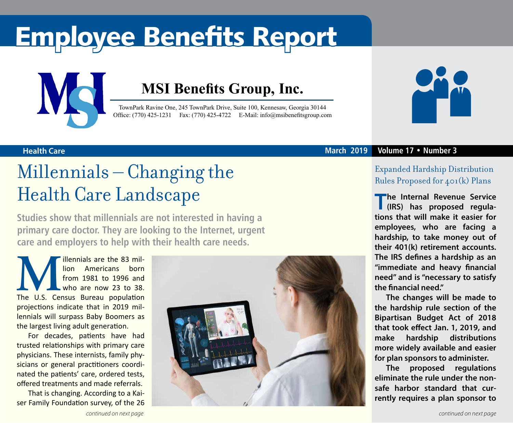# Employee Benefits Report



### **MSI Benefits Group, Inc.**

TownPark Ravine One, 245 TownPark Drive, Suite 100, Kennesaw, Georgia 30144 Office: (770) 425-1231 Fax: (770) 425-4722 E-Mail: [info@msibenefitsgroup.com](mailto:info@msibenefitsgroup.com)



### Millennials – Changing the Health Care Landscape

**Studies show that millennials are not interested in having a primary care doctor. They are looking to the Internet, urgent care and employers to help with their health care needs.**

**Marition** Americans born<br>
from 1981 to 1996 and<br>
who are now 23 to 38.<br>
The U.S. Census Bureau population lion Americans born from 1981 to 1996 and who are now 23 to 38. projections indicate that in 2019 millennials will surpass Baby Boomers as the largest living adult generation.

For decades, patients have had trusted relationships with primary care physicians. These internists, family physicians or general practitioners coordinated the patients' care, ordered tests, offered treatments and made referrals.

That is changing. According to a Kaiser Family Foundation survey, of the 26





### **Health Care March 2019 Volume 17 • Number 3**

### Expanded Hardship Distribution Rules Proposed for 401(k) Plans

**The Internal Revenue Service (IRS) has proposed regulations that will make it easier for employees, who are facing a hardship, to take money out of their 401(k) retirement accounts. The IRS defines a hardship as an "immediate and heavy financial need" and is "necessary to satisfy the financial need."** 

**The changes will be made to the hardship rule section of the Bipartisan Budget Act of 2018 that took effect Jan. 1, 2019, and make hardship distributions more widely available and easier for plan sponsors to administer.**

**The proposed regulations eliminate the rule under the nonsafe harbor standard that currently requires a plan sponsor to**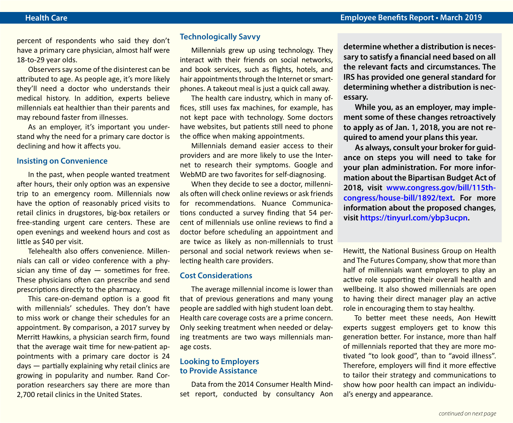percent of respondents who said they don't have a primary care physician, almost half were 18-to-29 year olds.

Observers say some of the disinterest can be attributed to age. As people age, it's more likely they'll need a doctor who understands their medical history. In addition, experts believe millennials eat healthier than their parents and may rebound faster from illnesses.

As an employer, it's important you understand why the need for a primary care doctor is declining and how it affects you.

#### **Insisting on Convenience**

In the past, when people wanted treatment after hours, their only option was an expensive trip to an emergency room. Millennials now have the option of reasonably priced visits to retail clinics in drugstores, big-box retailers or free-standing urgent care centers. These are open evenings and weekend hours and cost as little as \$40 per visit.

Telehealth also offers convenience. Millennials can call or video conference with a physician any time of day  $-$  sometimes for free. These physicians often can prescribe and send prescriptions directly to the pharmacy.

This care-on-demand option is a good fit with millennials' schedules. They don't have to miss work or change their schedules for an appointment. By comparison, a 2017 survey by Merritt Hawkins, a physician search firm, found that the average wait time for new-patient appointments with a primary care doctor is 24 days — partially explaining why retail clinics are growing in popularity and number. Rand Corporation researchers say there are more than 2,700 retail clinics in the United States.

### **Technologically Savvy**

Millennials grew up using technology. They interact with their friends on social networks, and book services, such as flights, hotels, and hair appointments through the Internet or smartphones. A takeout meal is just a quick call away.

The health care industry, which in many offices, still uses fax machines, for example, has not kept pace with technology. Some doctors have websites, but patients still need to phone the office when making appointments.

Millennials demand easier access to their providers and are more likely to use the Internet to research their symptoms. Google and WebMD are two favorites for self-diagnosing.

When they decide to see a doctor, millennials often will check online reviews or ask friends for recommendations. Nuance Communications conducted a survey finding that 54 percent of millennials use online reviews to find a doctor before scheduling an appointment and are twice as likely as non-millennials to trust personal and social network reviews when selecting health care providers.

### **Cost Considerations**

The average millennial income is lower than that of previous generations and many young people are saddled with high student loan debt. Health care coverage costs are a prime concern. Only seeking treatment when needed or delaying treatments are two ways millennials manage costs.

### **Looking to Employers to Provide Assistance**

Data from the 2014 Consumer Health Mindset report, conducted by consultancy Aon

**determine whether a distribution is necessary to satisfy a financial need based on all the relevant facts and circumstances. The IRS has provided one general standard for determining whether a distribution is necessary.**

**While you, as an employer, may implement some of these changes retroactively to apply as of Jan. 1, 2018, you are not required to amend your plans this year.**

**As always, consult your broker for guidance on steps you will need to take for your plan administration. For more information about the Bipartisan Budget Act of 2018, visit [www.congress.gov/bill/115th](http://www.congress.gov/bill/115th-congress/house-bill/1892/text)[congress/house-bill/1892/text](http://www.congress.gov/bill/115th-congress/house-bill/1892/text). For more information about the proposed changes, visit <https://tinyurl.com/ybp3ucpn>.**

Hewitt, the National Business Group on Health and The Futures Company, show that more than half of millennials want employers to play an active role supporting their overall health and wellbeing. It also showed millennials are open to having their direct manager play an active role in encouraging them to stay healthy.

To better meet these needs, Aon Hewitt experts suggest employers get to know this generation better. For instance, more than half of millennials reported that they are more motivated "to look good", than to "avoid illness". Therefore, employers will find it more effective to tailor their strategy and communications to show how poor health can impact an individual's energy and appearance.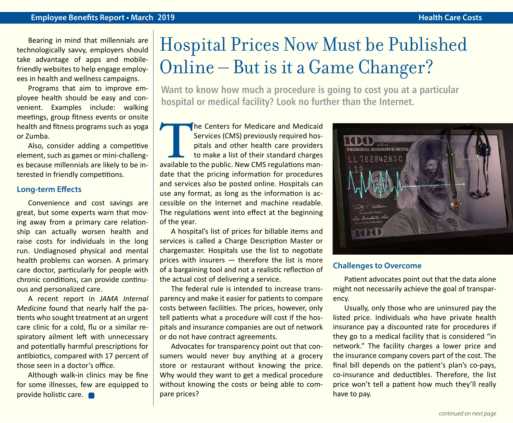Bearing in mind that millennials are technologically savvy, employers should take advantage of apps and mobilefriendly websites to help engage employees in health and wellness campaigns.

Programs that aim to improve employee health should be easy and convenient. Examples include: walking meetings, group fitness events or onsite health and fitness programs such as yoga or Zumba.

Also, consider adding a competitive element, such as games or mini-challenges because millennials are likely to be interested in friendly competitions.

### **Long-term Effects**

Convenience and cost savings are great, but some experts warn that moving away from a primary care relationship can actually worsen health and raise costs for individuals in the long run. Undiagnosed physical and mental health problems can worsen. A primary care doctor, particularly for people with chronic conditions, can provide continuous and personalized care.

A recent report in *JAMA Internal Medicine* found that nearly half the patients who sought treatment at an urgent care clinic for a cold, flu or a similar respiratory ailment left with unnecessary and potentially harmful prescriptions for antibiotics, compared with 17 percent of those seen in a doctor's office.

Although walk-in clinics may be fine for some illnesses, few are equipped to provide holistic care.

## Hospital Prices Now Must be Published Online – But is it a Game Changer?

**Want to know how much a procedure is going to cost you at a particular hospital or medical facility? Look no further than the Internet.**

The Centers for Medicare and Medicaid<br>
Services (CMS) previously required hos-<br>
pitals and other health care providers<br>
to make a list of their standard charges<br>
available to the public. New CMS regulations man-Services (CMS) previously required hospitals and other health care providers to make a list of their standard charges date that the pricing information for procedures and services also be posted online. Hospitals can use any format, as long as the information is accessible on the Internet and machine readable. The regulations went into effect at the beginning of the year.

A hospital's list of prices for billable items and services is called a Charge Description Master or chargemaster. Hospitals use the list to negotiate prices with insurers — therefore the list is more of a bargaining tool and not a realistic reflection of the actual cost of delivering a service.

The federal rule is intended to increase transparency and make it easier for patients to compare costs between facilities. The prices, however, only tell patients what a procedure will cost if the hospitals and insurance companies are out of network or do not have contract agreements.

Advocates for transparency point out that consumers would never buy anything at a grocery store or restaurant without knowing the price. Why would they want to get a medical procedure without knowing the costs or being able to compare prices?



### **Challenges to Overcome**

Patient advocates point out that the data alone might not necessarily achieve the goal of transparency.

Usually, only those who are uninsured pay the listed price. Individuals who have private health insurance pay a discounted rate for procedures if they go to a medical facility that is considered "in network." The facility charges a lower price and the insurance company covers part of the cost. The final bill depends on the patient's plan's co-pays, co-insurance and deductibles. Therefore, the list price won't tell a patient how much they'll really have to pay.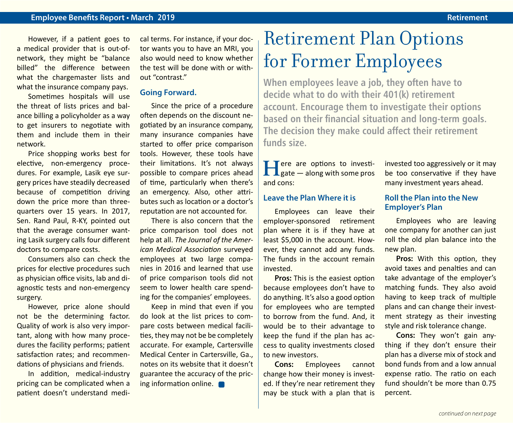However, if a patient goes to a medical provider that is out-ofnetwork, they might be "balance billed" the difference between what the chargemaster lists and what the insurance company pays.

Sometimes hospitals will use the threat of lists prices and balance billing a policyholder as a way to get insurers to negotiate with them and include them in their network.

Price shopping works best for elective, non-emergency procedures. For example, Lasik eye surgery prices have steadily decreased because of competition driving down the price more than threequarters over 15 years. In 2017, Sen. Rand Paul, R-KY, pointed out that the average consumer wanting Lasik surgery calls four different doctors to compare costs.

Consumers also can check the prices for elective procedures such as physician office visits, lab and diagnostic tests and non-emergency surgery.

However, price alone should not be the determining factor. Quality of work is also very important, along with how many procedures the facility performs; patient satisfaction rates; and recommendations of physicians and friends.

In addition, medical-industry pricing can be complicated when a patient doesn't understand medi-

cal terms. For instance, if your doctor wants you to have an MRI, you also would need to know whether the test will be done with or without "contrast."

#### **Going Forward.**

Since the price of a procedure often depends on the discount negotiated by an insurance company, many insurance companies have started to offer price comparison tools. However, these tools have their limitations. It's not always possible to compare prices ahead of time, particularly when there's an emergency. Also, other attributes such as location or a doctor's reputation are not accounted for.

There is also concern that the price comparison tool does not help at all. *The Journal of the American Medical Association* surveyed employees at two large companies in 2016 and learned that use of price comparison tools did not seem to lower health care spending for the companies' employees.

Keep in mind that even if you do look at the list prices to compare costs between medical facilities, they may not be be completely accurate. For example, Cartersville Medical Center in Cartersville, Ga., notes on its website that it doesn't guarantee the accuracy of the pricing information online.

### Retirement Plan Options for Former Employees

**When employees leave a job, they often have to decide what to do with their 401(k) retirement account. Encourage them to investigate their options based on their financial situation and long-term goals. The decision they make could affect their retirement funds size.**

**H**ere are options to investi-<br>
gate — along with some pros and cons:

#### **Leave the Plan Where it is**

Employees can leave their employer-sponsored retirement plan where it is if they have at least \$5,000 in the account. However, they cannot add any funds. The funds in the account remain invested.

**Pros:** This is the easiest option because employees don't have to do anything. It's also a good option for employees who are tempted to borrow from the fund. And, it would be to their advantage to keep the fund if the plan has access to quality investments closed to new investors.

**Cons:** Employees cannot change how their money is invested. If they're near retirement they may be stuck with a plan that is

invested too aggressively or it may be too conservative if they have many investment years ahead.

### **Roll the Plan into the New Employer's Plan**

Employees who are leaving one company for another can just roll the old plan balance into the new plan.

**Pros:** With this option, they avoid taxes and penalties and can take advantage of the employer's matching funds. They also avoid having to keep track of multiple plans and can change their investment strategy as their investing style and risk tolerance change.

**Cons:** They won't gain anything if they don't ensure their plan has a diverse mix of stock and bond funds from and a low annual expense ratio. The ratio on each fund shouldn't be more than 0.75 percent.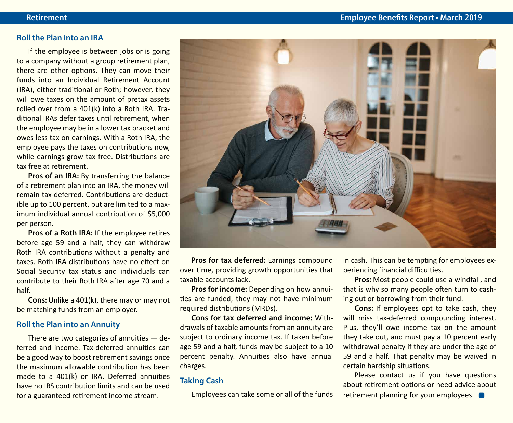### **Roll the Plan into an IRA**

If the employee is between jobs or is going to a company without a group retirement plan, there are other options. They can move their funds into an Individual Retirement Account (IRA), either traditional or Roth; however, they will owe taxes on the amount of pretax assets rolled over from a 401(k) into a Roth IRA. Traditional IRAs defer taxes until retirement, when the employee may be in a lower tax bracket and owes less tax on earnings. With a Roth IRA, the employee pays the taxes on contributions now, while earnings grow tax free. Distributions are tax free at retirement.

Pros of an IRA: By transferring the balance of a retirement plan into an IRA, the money will remain tax-deferred. Contributions are deductible up to 100 percent, but are limited to a maximum individual annual contribution of \$5,000 per person.

**Pros of a Roth IRA:** If the employee retires before age 59 and a half, they can withdraw Roth IRA contributions without a penalty and taxes. Roth IRA distributions have no effect on Social Security tax status and individuals can contribute to their Roth IRA after age 70 and a half.

**Cons:** Unlike a 401(k), there may or may not be matching funds from an employer.

#### **Roll the Plan into an Annuity**

There are two categories of annuities — deferred and income. Tax-deferred annuities can be a good way to boost retirement savings once the maximum allowable contribution has been made to a 401(k) or IRA. Deferred annuities have no IRS contribution limits and can be used for a guaranteed retirement income stream.



**Pros for tax deferred:** Earnings compound over time, providing growth opportunities that taxable accounts lack.

**Pros for income:** Depending on how annuities are funded, they may not have minimum required distributions (MRDs).

**Cons for tax deferred and income:** Withdrawals of taxable amounts from an annuity are subject to ordinary income tax. If taken before age 59 and a half, funds may be subject to a 10 percent penalty. Annuities also have annual charges.

### **Taking Cash**

Employees can take some or all of the funds

in cash. This can be tempting for employees experiencing financial difficulties.

**Pros:** Most people could use a windfall, and that is why so many people often turn to cashing out or borrowing from their fund.

**Cons:** If employees opt to take cash, they will miss tax-deferred compounding interest. Plus, they'll owe income tax on the amount they take out, and must pay a 10 percent early withdrawal penalty if they are under the age of 59 and a half. That penalty may be waived in certain hardship situations.

Please contact us if you have questions about retirement options or need advice about retirement planning for your employees.